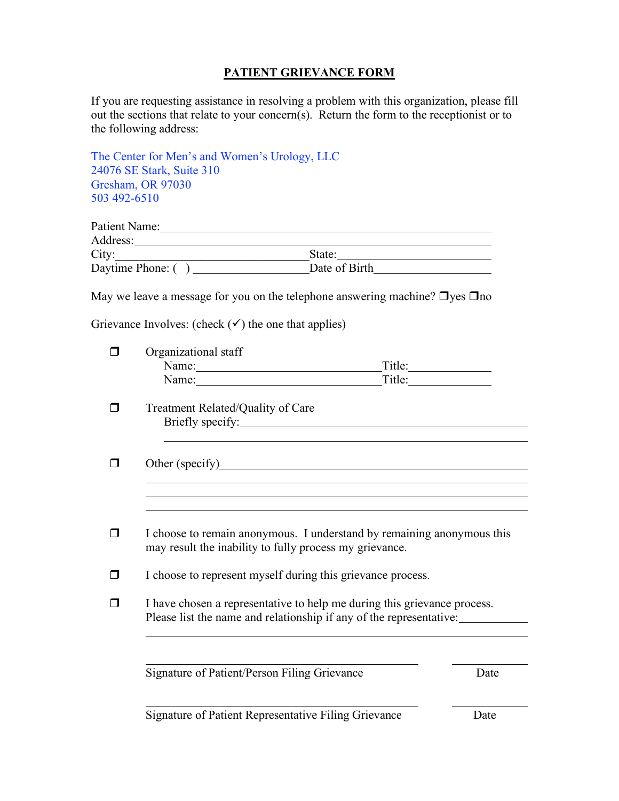## **PATIENT GRIEVANCE FORM**

If you are requesting assistance in resolving a problem with this organization, please fill out the sections that relate to your concern(s). Return the form to the receptionist or to the following address:

The Center for Men's and Women's Urology, LLC 24076 SE Stark, Suite 310 Gresham, OR 97030 503 492-6510

| Patient Name:     |               |  |
|-------------------|---------------|--|
| Address:          |               |  |
| City:             | State:        |  |
| Daytime Phone: () | Date of Birth |  |

May we leave a message for you on the telephone answering machine?  $\Box$  yes  $\Box$  no

Grievance Involves: (check  $(\checkmark)$ ) the one that applies)

| Organizational staff                                        |                                                                                                                                                 |
|-------------------------------------------------------------|-------------------------------------------------------------------------------------------------------------------------------------------------|
| Name:                                                       | Title:                                                                                                                                          |
|                                                             | Name: Title:                                                                                                                                    |
| Treatment Related/Quality of Care                           |                                                                                                                                                 |
| Briefly specify:                                            |                                                                                                                                                 |
|                                                             |                                                                                                                                                 |
|                                                             |                                                                                                                                                 |
|                                                             |                                                                                                                                                 |
| may result the inability to fully process my grievance.     | I choose to remain anonymous. I understand by remaining anonymous this                                                                          |
| I choose to represent myself during this grievance process. |                                                                                                                                                 |
|                                                             | I have chosen a representative to help me during this grievance process.<br>Please list the name and relationship if any of the representative: |
|                                                             |                                                                                                                                                 |
|                                                             |                                                                                                                                                 |

Signature of Patient Representative Filing Grievance Date